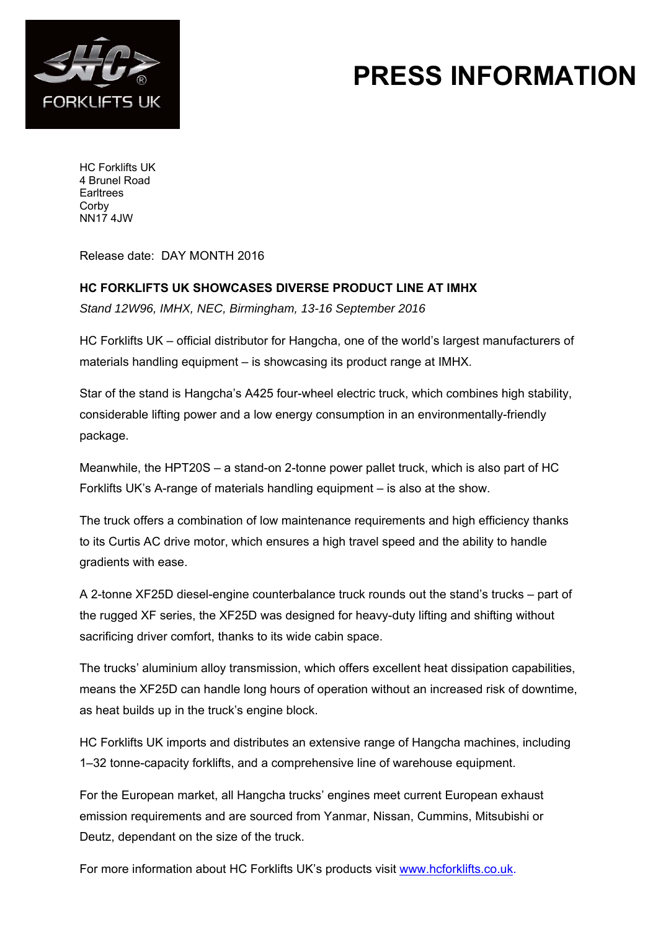

## **PRESS INFORMATION**

HC Forklifts UK 4 Brunel Road **Earltrees Corby** NN17 4JW

Release date: DAY MONTH 2016

## **HC FORKLIFTS UK SHOWCASES DIVERSE PRODUCT LINE AT IMHX**

*Stand 12W96, IMHX, NEC, Birmingham, 13-16 September 2016*

HC Forklifts UK – official distributor for Hangcha, one of the world's largest manufacturers of materials handling equipment – is showcasing its product range at IMHX.

Star of the stand is Hangcha's A425 four-wheel electric truck, which combines high stability, considerable lifting power and a low energy consumption in an environmentally-friendly package.

Meanwhile, the HPT20S – a stand-on 2-tonne power pallet truck, which is also part of HC Forklifts UK's A-range of materials handling equipment – is also at the show.

The truck offers a combination of low maintenance requirements and high efficiency thanks to its Curtis AC drive motor, which ensures a high travel speed and the ability to handle gradients with ease.

A 2-tonne XF25D diesel-engine counterbalance truck rounds out the stand's trucks – part of the rugged XF series, the XF25D was designed for heavy-duty lifting and shifting without sacrificing driver comfort, thanks to its wide cabin space.

The trucks' aluminium alloy transmission, which offers excellent heat dissipation capabilities, means the XF25D can handle long hours of operation without an increased risk of downtime, as heat builds up in the truck's engine block.

HC Forklifts UK imports and distributes an extensive range of Hangcha machines, including 1–32 tonne-capacity forklifts, and a comprehensive line of warehouse equipment.

For the European market, all Hangcha trucks' engines meet current European exhaust emission requirements and are sourced from Yanmar, Nissan, Cummins, Mitsubishi or Deutz, dependant on the size of the truck.

For more information about HC Forklifts UK's products visit www.hcforklifts.co.uk.